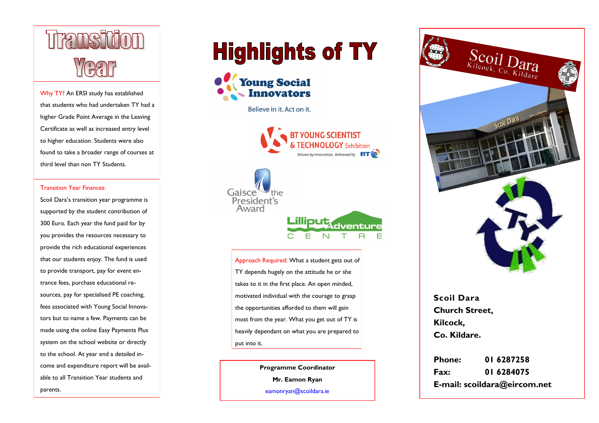

Why TY? An ERSI study has established that students who had undertaken TY had a higher Grade Point Average in the Leaving Certificate as well as increased entry level to higher education. Students were also found to take a broader range of courses at third level than non TY Students.

#### Transition Year Finances:

Scoil Dara's transition year programme is supported by the student contribution of 300 Euro. Each year the fund paid for by you provides the resources necessary to provide the rich educational experiences that our students enjoy. The fund is used to provide transport, pay for event entrance fees, purchase educational resources, pay for specialised PE coaching, fees associated with Young Social Innovators but to name a few. Payments can be made using the online Easy Payments Plus system on the school website or directly to the school. At year end a detailed income and expenditure report will be available to all Transition Year students and parents.

# **Highlights of TY**



Believe in it. Act on it.





Approach Required: What a student gets out of TY depends hugely on the attitude he or she takes to it in the first place. An open minded, motivated individual with the courage to grasp the opportunities afforded to them will gain most from the year. What you get out of TY is heavily dependant on what you are prepared to put into it.

> **Programme Coordinator Mr. Eamon Ryan** eamonryan@scoildara.ie



**Scoil Dara Church Street, Kilcock, Co. Kildare.**

**Phone: 01 6287258 Fax: 01 6284075 E-mail: scoildara@eircom.net**